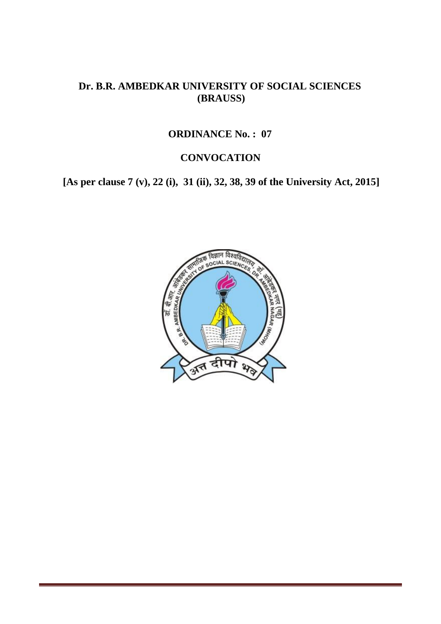## **Dr. B.R. AMBEDKAR UNIVERSITY OF SOCIAL SCIENCES (BRAUSS)**

#### **ORDINANCE No. : 07**

## **CONVOCATION**

**[As per clause 7 (v), 22 (i), 31 (ii), 32, 38, 39 of the University Act, 2015]**

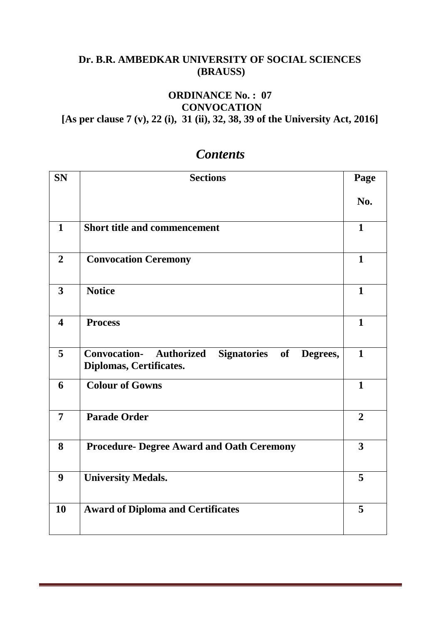## **Dr. B.R. AMBEDKAR UNIVERSITY OF SOCIAL SCIENCES (BRAUSS)**

## **ORDINANCE No. : 07 CONVOCATION**

**[As per clause 7 (v), 22 (i), 31 (ii), 32, 38, 39 of the University Act, 2016]**

| <b>SN</b>               | <b>Sections</b>                                                                         |                |  |  |  |
|-------------------------|-----------------------------------------------------------------------------------------|----------------|--|--|--|
|                         |                                                                                         | No.            |  |  |  |
| $\mathbf{1}$            | <b>Short title and commencement</b>                                                     | $\mathbf{1}$   |  |  |  |
| $\overline{2}$          | <b>Convocation Ceremony</b>                                                             | $\mathbf{1}$   |  |  |  |
| 3                       | <b>Notice</b>                                                                           | $\mathbf{1}$   |  |  |  |
| $\overline{\mathbf{4}}$ | <b>Process</b>                                                                          | $\mathbf{1}$   |  |  |  |
| 5                       | <b>Convocation-</b> Authorized<br>Signatories of<br>Degrees,<br>Diplomas, Certificates. | $\mathbf{1}$   |  |  |  |
| 6                       | <b>Colour of Gowns</b>                                                                  | $\mathbf{1}$   |  |  |  |
| $\overline{7}$          | <b>Parade Order</b>                                                                     | $\overline{2}$ |  |  |  |
| 8                       | <b>Procedure- Degree Award and Oath Ceremony</b>                                        | $\overline{3}$ |  |  |  |
| 9                       | <b>University Medals.</b>                                                               | 5              |  |  |  |
| 10                      | <b>Award of Diploma and Certificates</b>                                                | 5              |  |  |  |

# *Contents*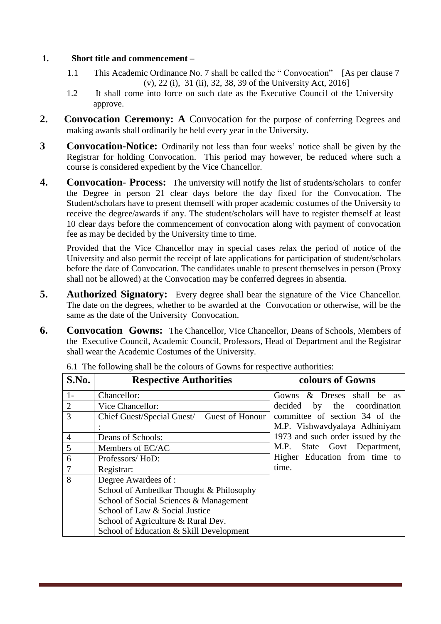#### **1. Short title and commencement –**

- 1.1 This Academic Ordinance No. 7 shall be called the " Convocation" [As per clause 7 (v), 22 (i), 31 (ii), 32, 38, 39 of the University Act, 2016]
- 1.2 It shall come into force on such date as the Executive Council of the University approve.
- **2. Convocation Ceremony: A** Convocation for the purpose of conferring Degrees and making awards shall ordinarily be held every year in the University.
- **3 Convocation-Notice:** Ordinarily not less than four weeks' notice shall be given by the Registrar for holding Convocation. This period may however, be reduced where such a course is considered expedient by the Vice Chancellor.
- **4. Convocation- Process:** The university will notify the list of students/scholars to confer the Degree in person 21 clear days before the day fixed for the Convocation. The Student/scholars have to present themself with proper academic costumes of the University to receive the degree/awards if any. The student/scholars will have to register themself at least 10 clear days before the commencement of convocation along with payment of convocation fee as may be decided by the University time to time.

Provided that the Vice Chancellor may in special cases relax the period of notice of the University and also permit the receipt of late applications for participation of student/scholars before the date of Convocation. The candidates unable to present themselves in person (Proxy shall not be allowed) at the Convocation may be conferred degrees in absentia.

- **5. Authorized Signatory:** Every degree shall bear the signature of the Vice Chancellor. The date on the degrees, whether to be awarded at the Convocation or otherwise, will be the same as the date of the University Convocation.
- **6. Convocation Gowns:** The Chancellor, Vice Chancellor, Deans of Schools, Members of the Executive Council, Academic Council, Professors, Head of Department and the Registrar shall wear the Academic Costumes of the University.

| S.No.          | <b>Respective Authorities</b>              | colours of Gowns                  |
|----------------|--------------------------------------------|-----------------------------------|
| $1-$           | Chancellor:                                | Gowns & Dreses shall be as        |
| 2              | Vice Chancellor:                           | decided by the coordination       |
| 3              | Chief Guest/Special Guest/ Guest of Honour | committee of section 34 of the    |
|                |                                            | M.P. Vishwavdyalaya Adhiniyam     |
| $\overline{4}$ | Deans of Schools:                          | 1973 and such order issued by the |
| 5              | Members of EC/AC                           | M.P.<br>State Govt Department,    |
| 6              | Professors/HoD:                            | Higher Education from time to     |
|                | Registrar:                                 | time.                             |
| 8              | Degree Awardees of :                       |                                   |
|                | School of Ambedkar Thought & Philosophy    |                                   |
|                | School of Social Sciences & Management     |                                   |
|                | School of Law & Social Justice             |                                   |
|                | School of Agriculture & Rural Dev.         |                                   |
|                | School of Education & Skill Development    |                                   |

6.1 The following shall be the colours of Gowns for respective authorities: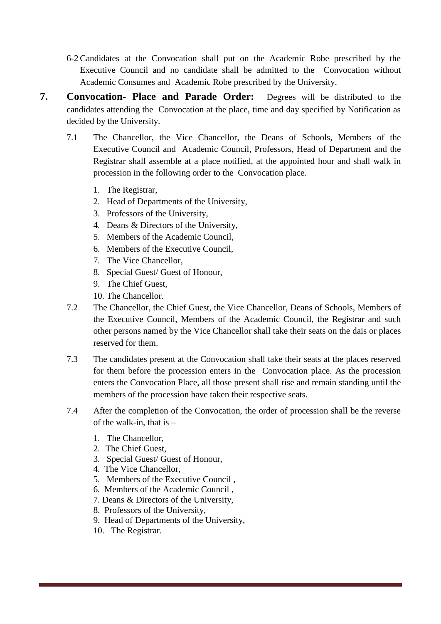- 6-2 Candidates at the Convocation shall put on the Academic Robe prescribed by the Executive Council and no candidate shall be admitted to the Convocation without Academic Consumes and Academic Robe prescribed by the University.
- **7. Convocation- Place and Parade Order:** Degrees will be distributed to the candidates attending the Convocation at the place, time and day specified by Notification as decided by the University.
	- 7.1 The Chancellor, the Vice Chancellor, the Deans of Schools, Members of the Executive Council and Academic Council, Professors, Head of Department and the Registrar shall assemble at a place notified, at the appointed hour and shall walk in procession in the following order to the Convocation place.
		- 1. The Registrar,
		- 2. Head of Departments of the University,
		- 3. Professors of the University,
		- 4. Deans & Directors of the University,
		- 5. Members of the Academic Council,
		- 6. Members of the Executive Council,
		- 7. The Vice Chancellor,
		- 8. Special Guest/ Guest of Honour,
		- 9. The Chief Guest,
		- 10. The Chancellor.
	- 7.2 The Chancellor, the Chief Guest, the Vice Chancellor, Deans of Schools, Members of the Executive Council, Members of the Academic Council, the Registrar and such other persons named by the Vice Chancellor shall take their seats on the dais or places reserved for them.
	- 7.3 The candidates present at the Convocation shall take their seats at the places reserved for them before the procession enters in the Convocation place. As the procession enters the Convocation Place, all those present shall rise and remain standing until the members of the procession have taken their respective seats.
	- 7.4 After the completion of the Convocation, the order of procession shall be the reverse of the walk-in, that is –
		- 1. The Chancellor,
		- 2. The Chief Guest,
		- 3. Special Guest/ Guest of Honour,
		- 4. The Vice Chancellor,
		- 5. Members of the Executive Council ,
		- 6. Members of the Academic Council ,
		- 7. Deans & Directors of the University,
		- 8. Professors of the University,
		- 9. Head of Departments of the University,
		- 10. The Registrar.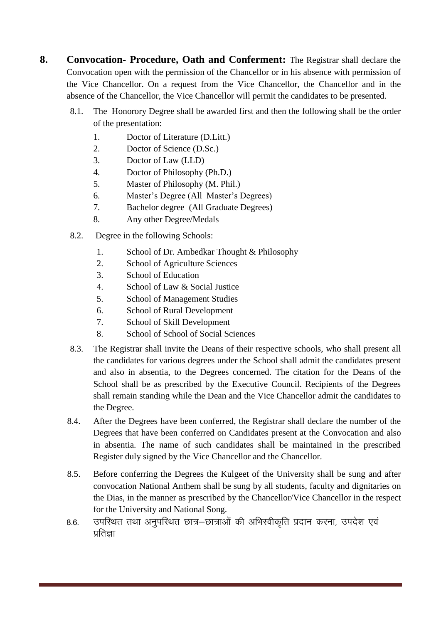**8. Convocation- Procedure, Oath and Conferment:** The Registrar shall declare the Convocation open with the permission of the Chancellor or in his absence with permission of the Vice Chancellor. On a request from the Vice Chancellor, the Chancellor and in the absence of the Chancellor, the Vice Chancellor will permit the candidates to be presented.

- 8.1. The Honorory Degree shall be awarded first and then the following shall be the order of the presentation:
	- 1. Doctor of Literature (D.Litt.)
	- 2. Doctor of Science (D.Sc.)
	- 3. Doctor of Law (LLD)
	- 4. Doctor of Philosophy (Ph.D.)
	- 5. Master of Philosophy (M. Phil.)
	- 6. Master's Degree (All Master's Degrees)
	- 7. Bachelor degree (All Graduate Degrees)
	- 8. Any other Degree/Medals
- 8.2. Degree in the following Schools:
	- 1. School of Dr. Ambedkar Thought & Philosophy
	- 2. School of Agriculture Sciences
	- 3. School of Education
	- 4. School of Law & Social Justice
	- 5. School of Management Studies
	- 6. School of Rural Development
	- 7. School of Skill Development
	- 8. School of School of Social Sciences
- 8.3. The Registrar shall invite the Deans of their respective schools, who shall present all the candidates for various degrees under the School shall admit the candidates present and also in absentia, to the Degrees concerned. The citation for the Deans of the School shall be as prescribed by the Executive Council. Recipients of the Degrees shall remain standing while the Dean and the Vice Chancellor admit the candidates to the Degree.
- 8.4. After the Degrees have been conferred, the Registrar shall declare the number of the Degrees that have been conferred on Candidates present at the Convocation and also in absentia. The name of such candidates shall be maintained in the prescribed Register duly signed by the Vice Chancellor and the Chancellor.
- 8.5. Before conferring the Degrees the Kulgeet of the University shall be sung and after convocation National Anthem shall be sung by all students, faculty and dignitaries on the Dias, in the manner as prescribed by the Chancellor/Vice Chancellor in the respect for the University and National Song.
- 8.6. उपस्थित तथा अनुपस्थित छात्र-छात्राओं की अभिस्वीकृति प्रदान करना, उपदेश एवं पतिज्ञा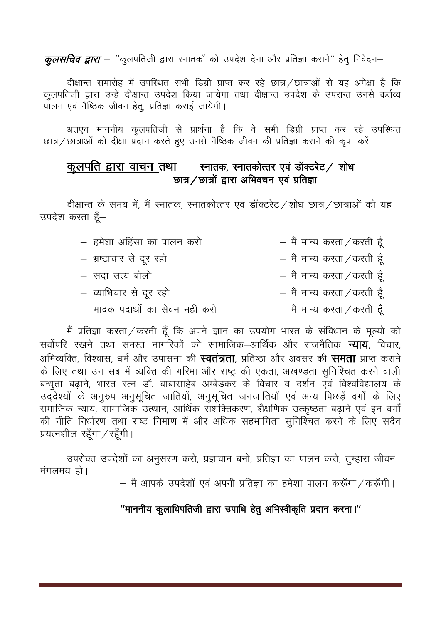*कूलसचिव द्वारा — ''*कूलपतिजी द्वारा स्नातकों को उपदेश देना और प्रतिज्ञा कराने'' हेतु निवेदन—

दीक्षान्त समारोह में उपस्थित सभी डिग्री प्राप्त कर रहे छात्र / छात्राओं से यह अपेक्षा है कि कलपतिजी द्वारा उन्हें दीक्षान्त उपदेश किया जायेगा तथा दीक्षान्त उपदेश के उपरान्त उनसे कर्तव्य ँ<br>पालन एवं नैष्ठिक जीवन हेतु, प्रतिज्ञा कराई जायेगी।

अतएव माननीय कुलपतिजी से प्रार्थना है कि वे सभी डिग्री प्राप्त कर रहे उपस्थित छात्र / छात्राओं को दीक्षा प्रदान करते हुए उनसे नैष्ठिक जीवन की प्रतिज्ञा कराने की कृपा करें।

## कुलपति द्वारा वाचन तथा स्नातक, स्नातकोत्तर एवं डॉक्टरेट / शोध छात्र  $\ell$  छात्रों द्वारा अभिवचन एवं प्रतिज्ञा

दीक्षान्त के समय में, मैं स्नातक, स्नातकोत्तर एवं डॉक्टरेट /शोध छात्र / छात्राओं को यह उपदेश करता हैं-

| – हमेशा अहिंसा का पालन करो      |  | $-$ मैं मान्य करता / करती हूँ |  |
|---------------------------------|--|-------------------------------|--|
| – भ्रष्टाचार से दूर रहो         |  | $-$ मैं मान्य करता / करती हूँ |  |
| – सदा सत्य बोलो                 |  | $-$ मैं मान्य करता / करती हूँ |  |
| – व्याभिचार से दूर रहो          |  | $-$ मैं मान्य करता / करती हूँ |  |
| – मादक पदार्थो का सेवन नहीं करो |  | $-$ मैं मान्य करता / करती हूँ |  |

मैं प्रतिज्ञा करता / करती हूँ कि अपने ज्ञान का उपयोग भारत के संविधान के मूल्यों को सर्वोपरि रखने तथा समस्त नागरिकों को सामाजिक—आर्थिक और राजनैतिक **न्याय**, विचार, अभिव्यक्ति, विश्वास, धर्म और उपासना की **स्वतंत्रता**, प्रतिष्ठा और अवसर की **समता** प्राप्त कराने के लिए तथा उन सब में व्यक्ति की गरिमा और राष्ट्र की एकता, अखण्डता सुनिश्चित करने वाली बन्धुता बढ़ाने, भारत रत्न डॉ. बाबासाहेब अम्बेडकर के विचार व दर्शन एवं विश्वविद्यालय के उद्देश्यों के अनुरुप अनुसूचित जातियों, अनुसूचित जनजातियों एवं अन्य पिछड़ें वर्गों के लिए .<br>समाजिक न्याय, सामाजिक उत्थान, आर्थिक संशक्तिकरण, शैक्षणिक उत्कृष्ठता बढाने एवं इन वर्गों की नीति निर्धारण तथा राष्ट निर्माण में और अधिक सहभागिता सुनिश्चित करने के लिए सदैव प्रयत्नशील रहँगा / रहँगी।

उपरोक्त उपदेशों का अनुसरण करो, प्रज्ञावान बनो, प्रतिज्ञा का पालन करो, तुम्हारा जीवन  $\overline{H}$ गलमय $\overline{S}$ ।

— मैं आपके उपदेशों एवं अपनी प्रतिज्ञा का हमेशा पालन करूँगा / करूँगी।

## $'$ 'माननीय कुलाधिपतिजी द्वारा उपाधि हेतु अभिस्वीकृति प्रदान करना।''